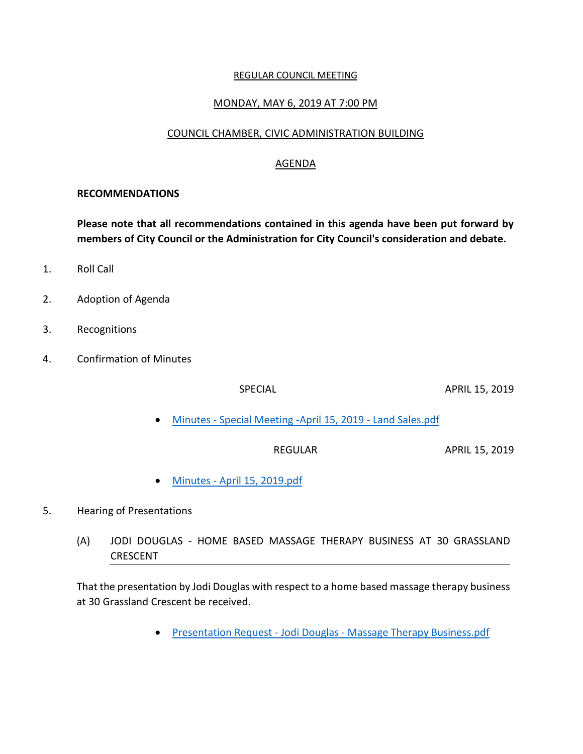#### REGULAR COUNCIL MEETING

#### MONDAY, MAY 6, 2019 AT 7:00 PM

### COUNCIL CHAMBER, CIVIC ADMINISTRATION BUILDING

### AGENDA

#### **RECOMMENDATIONS**

**Please note that all recommendations contained in this agenda have been put forward by members of City Council or the Administration for City Council's consideration and debate.**

- 1. Roll Call
- 2. Adoption of Agenda
- 3. Recognitions
- 4. Confirmation of Minutes

SPECIAL APRIL 15, 2019

Minutes - [Special Meeting -April 15, 2019 -](https://paperlesscouncil.brandon.ca/attachments/A_2019/COM_YWNQLSZMLPKOKXVUENPEUVUKPYWXPMHYDJGFNRXKSPPVYOLIZEM_Minutes%20-%20Special%20Meeting%20-April%2015,%202019%20-%20Land%20Sales.pdf) Land Sales.pdf

REGULAR APRIL 15, 2019

Minutes - [April 15, 2019.pdf](https://paperlesscouncil.brandon.ca/attachments/A_2019/COM_LAAGPFNQZRUOMOLESCFMFFBCIQONNRCIXEIABJOJQPRKZDALUCQ_Minutes%20-%20April%2015,%202019.pdf)

#### 5. Hearing of Presentations

(A) JODI DOUGLAS - HOME BASED MASSAGE THERAPY BUSINESS AT 30 GRASSLAND **CRESCENT** 

That the presentation by Jodi Douglas with respect to a home based massage therapy business at 30 Grassland Crescent be received.

• Presentation Request - Jodi Douglas - [Massage Therapy Business.pdf](https://paperlesscouncil.brandon.ca/attachments/A_2019/HOP_HUYMHIRNEIKDERPFSWUJGPUBPIVVDDGAEQRZHAJRQXXBSMRDOXH_Presentation%20Request%20-%20Jodi%20Douglas%20-%20Massage%20Therapy%20Business.pdf)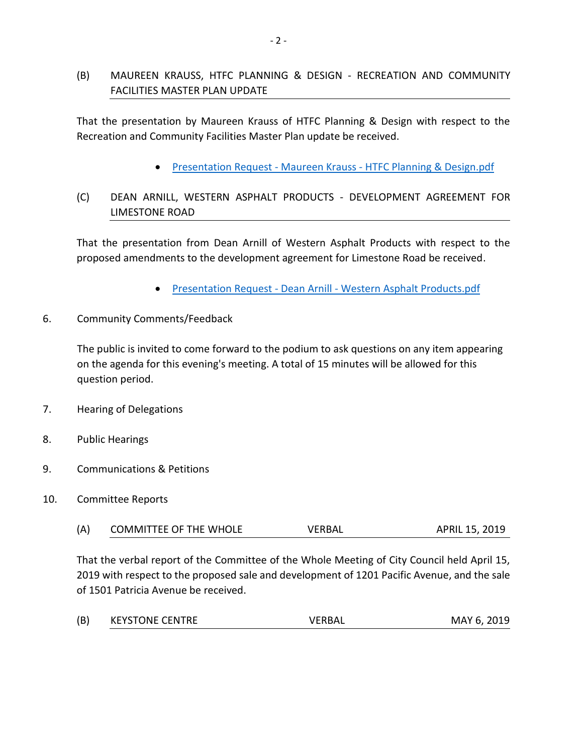# (B) MAUREEN KRAUSS, HTFC PLANNING & DESIGN - RECREATION AND COMMUNITY FACILITIES MASTER PLAN UPDATE

That the presentation by Maureen Krauss of HTFC Planning & Design with respect to the Recreation and Community Facilities Master Plan update be received.

Presentation Request - Maureen Krauss - [HTFC Planning & Design.pdf](https://paperlesscouncil.brandon.ca/attachments/A_2019/HOP_ODYWQCJHQEPZFVFUVZGUNJZIQHKDEECHVBJOAFBZMUVEANJXUDX_Presentation%20Request%20-%20Maureen%20Krauss%20-%20HTFC%20Planning%20&%20Design.pdf)

# (C) DEAN ARNILL, WESTERN ASPHALT PRODUCTS - DEVELOPMENT AGREEMENT FOR LIMESTONE ROAD

That the presentation from Dean Arnill of Western Asphalt Products with respect to the proposed amendments to the development agreement for Limestone Road be received.

- Presentation Request Dean Arnill [Western Asphalt Products.pdf](https://paperlesscouncil.brandon.ca/attachments/A_2019/HOP_JTDXOXMPKDGAJQAFFVUNUAKBQUCUJJBZHAESFKMFHBZESQMZOPH_Presentation%20Request%20-%20Dean%20Arnill%20-%20Western%20Asphalt%20Products.pdf)
- 6. Community Comments/Feedback

The public is invited to come forward to the podium to ask questions on any item appearing on the agenda for this evening's meeting. A total of 15 minutes will be allowed for this question period.

- 7. Hearing of Delegations
- 8. Public Hearings
- 9. Communications & Petitions
- 10. Committee Reports

| (A) | <b>COMMITTEE OF THE WHOLE</b> | VERBAL | APRIL 15, 2019 |
|-----|-------------------------------|--------|----------------|
|-----|-------------------------------|--------|----------------|

That the verbal report of the Committee of the Whole Meeting of City Council held April 15, 2019 with respect to the proposed sale and development of 1201 Pacific Avenue, and the sale of 1501 Patricia Avenue be received.

| (B) | <b>KEYSTONE CENTRE</b> | <b>VERBAL</b> | MAY 6, 2019 |
|-----|------------------------|---------------|-------------|
|     |                        |               |             |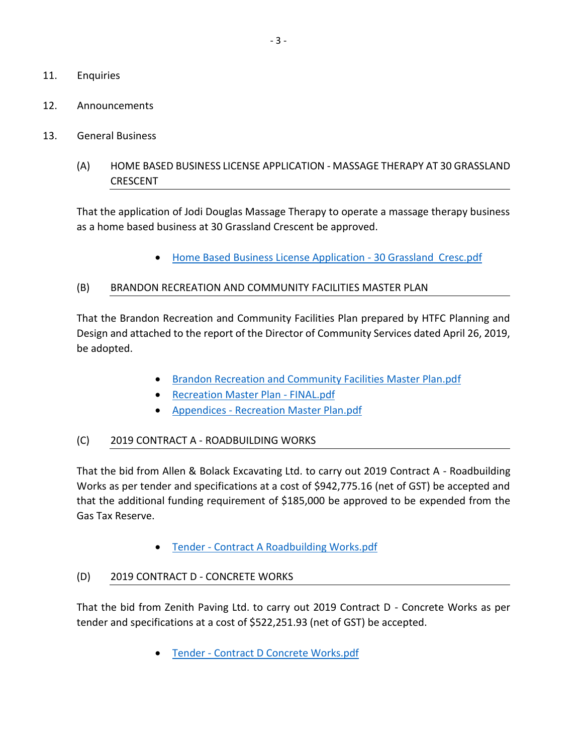- 11. Enquiries
- 12. Announcements
- 13. General Business
	- (A) HOME BASED BUSINESS LICENSE APPLICATION MASSAGE THERAPY AT 30 GRASSLAND CRESCENT

That the application of Jodi Douglas Massage Therapy to operate a massage therapy business as a home based business at 30 Grassland Crescent be approved.

[Home Based Business License Application -](https://paperlesscouncil.brandon.ca/attachments/A_2019/GEN_BQQYTGHLQCVRFULZDTFYOXACUWOKAOIPMGEDLFCRNTXODRUDGOH_Home%20Based%20Business%20License%20Application%20-%2030%20Grassland%20%20Cresc.pdf) 30 Grassland Cresc.pdf

## (B) BRANDON RECREATION AND COMMUNITY FACILITIES MASTER PLAN

That the Brandon Recreation and Community Facilities Plan prepared by HTFC Planning and Design and attached to the report of the Director of Community Services dated April 26, 2019, be adopted.

- [Brandon Recreation and Community Facilities Master Plan.pdf](https://paperlesscouncil.brandon.ca/attachments/A_2019/GEN_PFVBSBOUNYNGFRJTLWJJCLNYARSNANDYPBAAWDZGQTCFFHYNCBX_Brandon%20Recreation%20and%20Community%20Facilities%20Master%20Plan.pdf)
- [Recreation Master Plan -](https://paperlesscouncil.brandon.ca/attachments/A_2019/GEN_DBAHSDCAOGTMJXHAXITYDYFAKFDHTTAVMFCMLUABPWVDZYRFSKK_Recreation%20Master%20Plan%20-%20FINAL.pdf) FINAL.pdf
- Appendices [Recreation Master Plan.pdf](https://paperlesscouncil.brandon.ca/attachments/A_2019/GEN_UKLVXDJXAUTXREYEQGBQFYNWBOINIDXMIMQHMXEHYXVQNNLYHVU_Appendices%20-%20Recreation%20Master%20Plan.pdf)

# (C) 2019 CONTRACT A - ROADBUILDING WORKS

That the bid from Allen & Bolack Excavating Ltd. to carry out 2019 Contract A - Roadbuilding Works as per tender and specifications at a cost of \$942,775.16 (net of GST) be accepted and that the additional funding requirement of \$185,000 be approved to be expended from the Gas Tax Reserve.

Tender - [Contract A Roadbuilding Works.pdf](https://paperlesscouncil.brandon.ca/attachments/A_2019/GEN_FLPVYXASPAGAMZYIVYMEBXSJMQIMDXAKTIUNTHPLWQBRNCLNAZY_Tender%20-%20Contract%20A%20Roadbuilding%20Works.pdf)

# (D) 2019 CONTRACT D - CONCRETE WORKS

That the bid from Zenith Paving Ltd. to carry out 2019 Contract D - Concrete Works as per tender and specifications at a cost of \$522,251.93 (net of GST) be accepted.

Tender - [Contract D Concrete Works.pdf](https://paperlesscouncil.brandon.ca/attachments/A_2019/GEN_KIYLYHAUGCFAXXXWAXCYKGCUFJSUEPLIIMPUDOEKIGFFOCNMVJP_Tender%20-%20Contract%20D%20Concrete%20Works.pdf)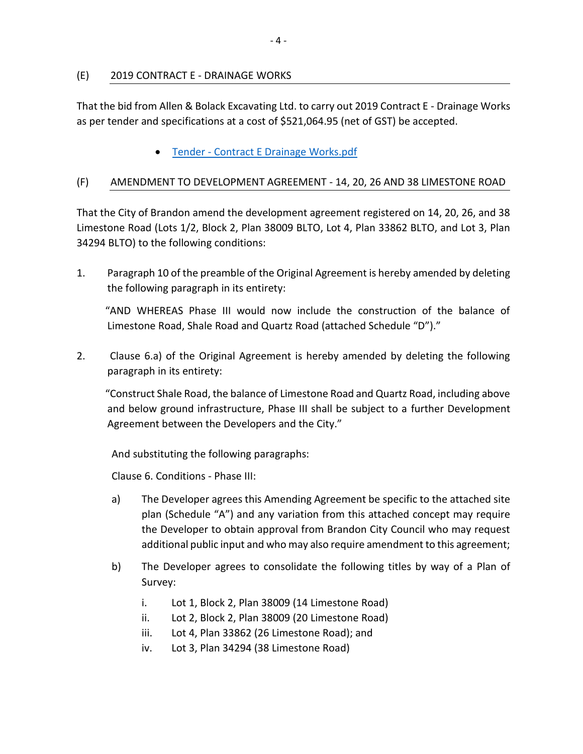## (E) 2019 CONTRACT E - DRAINAGE WORKS

That the bid from Allen & Bolack Excavating Ltd. to carry out 2019 Contract E - Drainage Works as per tender and specifications at a cost of \$521,064.95 (net of GST) be accepted.

**• Tender - [Contract E Drainage Works.pdf](https://paperlesscouncil.brandon.ca/attachments/A_2019/GEN_TLKPXUADKWLSLJTTXCZQLIMQAWCGHSQKAFZAIMMIWBGXRKNFDKE_Tender%20-%20Contract%20E%20Drainage%20Works.pdf)** 

## (F) AMENDMENT TO DEVELOPMENT AGREEMENT - 14, 20, 26 AND 38 LIMESTONE ROAD

That the City of Brandon amend the development agreement registered on 14, 20, 26, and 38 Limestone Road (Lots 1/2, Block 2, Plan 38009 BLTO, Lot 4, Plan 33862 BLTO, and Lot 3, Plan 34294 BLTO) to the following conditions:

1. Paragraph 10 of the preamble of the Original Agreement is hereby amended by deleting the following paragraph in its entirety:

 "AND WHEREAS Phase III would now include the construction of the balance of Limestone Road, Shale Road and Quartz Road (attached Schedule "D")."

2. Clause 6.a) of the Original Agreement is hereby amended by deleting the following paragraph in its entirety:

 "Construct Shale Road, the balance of Limestone Road and Quartz Road, including above and below ground infrastructure, Phase III shall be subject to a further Development Agreement between the Developers and the City."

And substituting the following paragraphs:

Clause 6. Conditions - Phase III:

- a) The Developer agrees this Amending Agreement be specific to the attached site plan (Schedule "A") and any variation from this attached concept may require the Developer to obtain approval from Brandon City Council who may request additional public input and who may also require amendment to this agreement;
- b) The Developer agrees to consolidate the following titles by way of a Plan of Survey:
	- i. Lot 1, Block 2, Plan 38009 (14 Limestone Road)
	- ii. Lot 2, Block 2, Plan 38009 (20 Limestone Road)
	- iii. Lot 4, Plan 33862 (26 Limestone Road); and
	- iv. Lot 3, Plan 34294 (38 Limestone Road)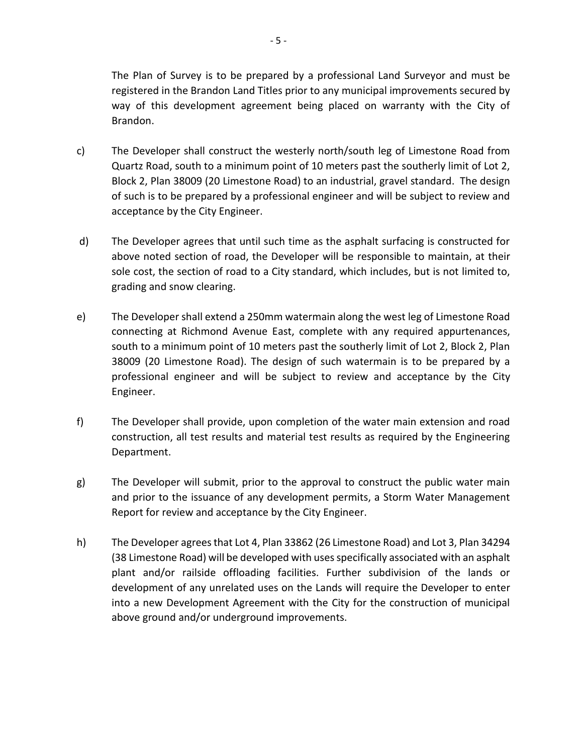The Plan of Survey is to be prepared by a professional Land Surveyor and must be registered in the Brandon Land Titles prior to any municipal improvements secured by way of this development agreement being placed on warranty with the City of Brandon.

- c) The Developer shall construct the westerly north/south leg of Limestone Road from Quartz Road, south to a minimum point of 10 meters past the southerly limit of Lot 2, Block 2, Plan 38009 (20 Limestone Road) to an industrial, gravel standard. The design of such is to be prepared by a professional engineer and will be subject to review and acceptance by the City Engineer.
- d) The Developer agrees that until such time as the asphalt surfacing is constructed for above noted section of road, the Developer will be responsible to maintain, at their sole cost, the section of road to a City standard, which includes, but is not limited to, grading and snow clearing.
- e) The Developer shall extend a 250mm watermain along the west leg of Limestone Road connecting at Richmond Avenue East, complete with any required appurtenances, south to a minimum point of 10 meters past the southerly limit of Lot 2, Block 2, Plan 38009 (20 Limestone Road). The design of such watermain is to be prepared by a professional engineer and will be subject to review and acceptance by the City Engineer.
- f) The Developer shall provide, upon completion of the water main extension and road construction, all test results and material test results as required by the Engineering Department.
- g) The Developer will submit, prior to the approval to construct the public water main and prior to the issuance of any development permits, a Storm Water Management Report for review and acceptance by the City Engineer.
- h) The Developer agrees that Lot 4, Plan 33862 (26 Limestone Road) and Lot 3, Plan 34294 (38 Limestone Road) will be developed with uses specifically associated with an asphalt plant and/or railside offloading facilities. Further subdivision of the lands or development of any unrelated uses on the Lands will require the Developer to enter into a new Development Agreement with the City for the construction of municipal above ground and/or underground improvements.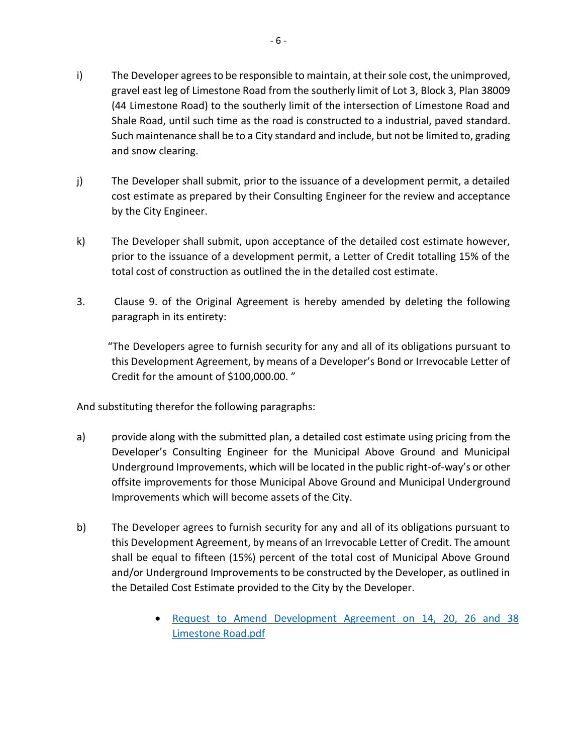- i) The Developer agrees to be responsible to maintain, at their sole cost, the unimproved, gravel east leg of Limestone Road from the southerly limit of Lot 3, Block 3, Plan 38009 (44 Limestone Road) to the southerly limit of the intersection of Limestone Road and Shale Road, until such time as the road is constructed to a industrial, paved standard. Such maintenance shall be to a City standard and include, but not be limited to, grading and snow clearing.
- j) The Developer shall submit, prior to the issuance of a development permit, a detailed cost estimate as prepared by their Consulting Engineer for the review and acceptance by the City Engineer.
- k) The Developer shall submit, upon acceptance of the detailed cost estimate however, prior to the issuance of a development permit, a Letter of Credit totalling 15% of the total cost of construction as outlined the in the detailed cost estimate.
- 3. Clause 9. of the Original Agreement is hereby amended by deleting the following paragraph in its entirety:

 "The Developers agree to furnish security for any and all of its obligations pursuant to this Development Agreement, by means of a Developer's Bond or Irrevocable Letter of Credit for the amount of \$100,000.00. "

And substituting therefor the following paragraphs:

- a) provide along with the submitted plan, a detailed cost estimate using pricing from the Developer's Consulting Engineer for the Municipal Above Ground and Municipal Underground Improvements, which will be located in the public right-of-way's or other offsite improvements for those Municipal Above Ground and Municipal Underground Improvements which will become assets of the City.
- b) The Developer agrees to furnish security for any and all of its obligations pursuant to this Development Agreement, by means of an Irrevocable Letter of Credit. The amount shall be equal to fifteen (15%) percent of the total cost of Municipal Above Ground and/or Underground Improvements to be constructed by the Developer, as outlined in the Detailed Cost Estimate provided to the City by the Developer.
	- [Request to Amend Development Agreement on 14, 20, 26 and 38](https://paperlesscouncil.brandon.ca/attachments/A_2019/GEN_ZOCYLNXKEGWITWRDRPZTINSWHNXCXSDFSHEHELCDBKYMPGEAHRU_Request%20to%20Amend%20Development%20Agreement%20on%2014,%2020,%2026%20and%2038%20Limestone%20Raod.pdf) [Limestone Road.pdf](https://paperlesscouncil.brandon.ca/attachments/A_2019/GEN_ZOCYLNXKEGWITWRDRPZTINSWHNXCXSDFSHEHELCDBKYMPGEAHRU_Request%20to%20Amend%20Development%20Agreement%20on%2014,%2020,%2026%20and%2038%20Limestone%20Raod.pdf)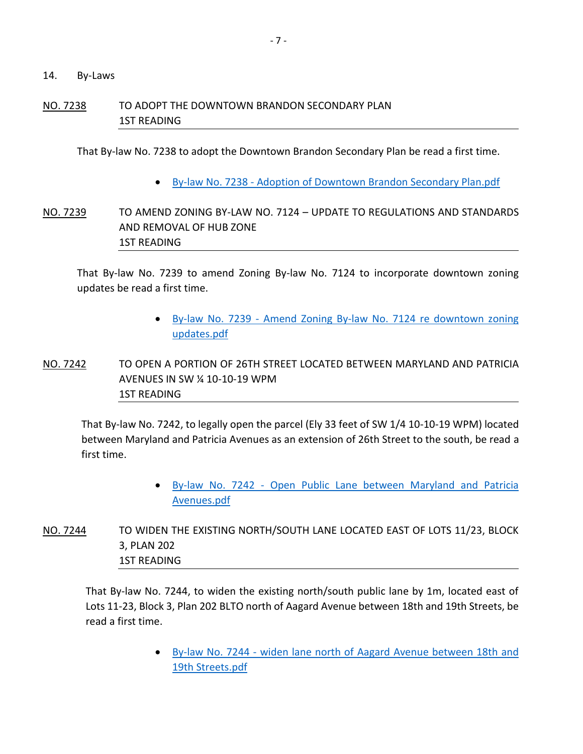14. By-Laws

## NO. 7238 TO ADOPT THE DOWNTOWN BRANDON SECONDARY PLAN 1ST READING

That By-law No. 7238 to adopt the Downtown Brandon Secondary Plan be read a first time.

By-law No. 7238 - [Adoption of Downtown Brandon Secondary Plan.pdf](https://paperlesscouncil.brandon.ca/attachments/A_2019/BYL_HERNPSZMFMLYBUROKCOVDFZFUUXQBGSUMXJDOTSBRRPSFWNFPFT_By-law%20No.%207238%20-%20Adoption%20of%20Downtown%20Brandon%20Secondary%20Plan.pdf)

# NO. 7239 TO AMEND ZONING BY-LAW NO. 7124 – UPDATE TO REGULATIONS AND STANDARDS AND REMOVAL OF HUB ZONE 1ST READING

That By-law No. 7239 to amend Zoning By-law No. 7124 to incorporate downtown zoning updates be read a first time.

- By-law No. 7239 [Amend Zoning By-law No. 7124 re downtown zoning](https://paperlesscouncil.brandon.ca/attachments/A_2019/BYL_IFNCQFYCFLBXEJFYDQXXNKYUTZWXRXIHTFVDFPXTWIKGIQSKLBF_By-law%20No.%207239%20-%20Amend%20Zoning%20By-law%20No.%207124%20re%20downtown%20zoning%20updates.pdf)  [updates.pdf](https://paperlesscouncil.brandon.ca/attachments/A_2019/BYL_IFNCQFYCFLBXEJFYDQXXNKYUTZWXRXIHTFVDFPXTWIKGIQSKLBF_By-law%20No.%207239%20-%20Amend%20Zoning%20By-law%20No.%207124%20re%20downtown%20zoning%20updates.pdf)
- NO. 7242 TO OPEN A PORTION OF 26TH STREET LOCATED BETWEEN MARYLAND AND PATRICIA AVENUES IN SW ¼ 10-10-19 WPM 1ST READING

That By-law No. 7242, to legally open the parcel (Ely 33 feet of SW 1/4 10-10-19 WPM) located between Maryland and Patricia Avenues as an extension of 26th Street to the south, be read a first time.

- By-law No. 7242 [Open Public Lane between Maryland and Patricia](https://paperlesscouncil.brandon.ca/attachments/A_2019/BYL_ASFXKEDUJOEPEOFPJLHTRNGOIXFCODMHWYDJRAMHPVOCDMPYILP_By-law%20No.%207242%20-%20Open%20Public%20Lane%20between%20Maryland%20and%20Patricia%20Avenues.pdf)  [Avenues.pdf](https://paperlesscouncil.brandon.ca/attachments/A_2019/BYL_ASFXKEDUJOEPEOFPJLHTRNGOIXFCODMHWYDJRAMHPVOCDMPYILP_By-law%20No.%207242%20-%20Open%20Public%20Lane%20between%20Maryland%20and%20Patricia%20Avenues.pdf)
- NO. 7244 TO WIDEN THE EXISTING NORTH/SOUTH LANE LOCATED EAST OF LOTS 11/23, BLOCK 3, PLAN 202 1ST READING

That By-law No. 7244, to widen the existing north/south public lane by 1m, located east of Lots 11-23, Block 3, Plan 202 BLTO north of Aagard Avenue between 18th and 19th Streets, be read a first time.

> By-law No. 7244 - [widen lane north of Aagard Avenue between 18th and](https://paperlesscouncil.brandon.ca/attachments/A_2019/BYL_TWZZKZHDFSFKBHXEMXLRVFYRIAWYSZHMBBEWNOBHUMQXSSICEXG_By-law%20No.%207244%20-%20widen%20lane%20north%20of%20Aagard%20Avenue%20between%2018th%20and%2019th%20Streets.pdf)  [19th Streets.pdf](https://paperlesscouncil.brandon.ca/attachments/A_2019/BYL_TWZZKZHDFSFKBHXEMXLRVFYRIAWYSZHMBBEWNOBHUMQXSSICEXG_By-law%20No.%207244%20-%20widen%20lane%20north%20of%20Aagard%20Avenue%20between%2018th%20and%2019th%20Streets.pdf)